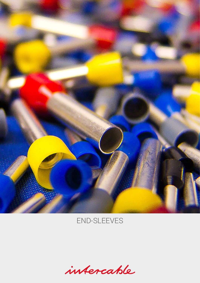

## END-SLEEVES

intercable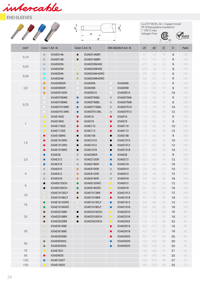intercable





Cu-ETP 99,9%, Sn / Copper tinned PP (Polipropilene insulation) T 105°C max.

Halogen Free  $\bigoplus$ <sub>us</sub>



| mm <sup>2</sup>          | Color 1 Art. N. |                    |           | Color 2 Art. N.  |           | DIN 46228/4 Art. N. | d1   | d2   | 2      | $\mathsf{I}$ | Pack |
|--------------------------|-----------------|--------------------|-----------|------------------|-----------|---------------------|------|------|--------|--------------|------|
|                          | $\bullet$       | ICIAE0146          | $\bullet$ | ICIAE0146BR      |           |                     | 0,7  | 1,6  | $10\,$ | 6            | 100  |
| 0,14                     | $\bullet$       | ICIAE0148          | $\bullet$ | ICIAE0148BR      |           |                     | 0,7  | 1,6  | 12     | 8            | 100  |
|                          | $\bullet$       | ICIAE0256          |           | ICIAE0256HGE     |           |                     | 0,75 | 1,8  | $10\,$ | 6            | 100  |
| 0,25                     | $\bullet$       | ICIAE0258          |           | ICIAE0258HGE     |           |                     | 0,75 | 1,8  | 12     | 8            | 100  |
| 0,34                     | $\bullet$       | ICIAE0346          | $\bullet$ | ICIAE0346HGRU    |           |                     | 0,8  | 2,0  | 10     | 6            | 100  |
|                          | $\bullet$       | ICIAE0348          | $\bullet$ | ICIAE0348HGRÜ    |           |                     | 0,8  | 2,0  | 12     | 8            | 100  |
|                          | $\bullet$       | ICIAE056OR         |           | ICIAE056         |           | ICIAE056            | 1,0  | 2,6  | 12     | 6            | 100  |
| 0,5                      | $\bullet$       | ICIAE058OR         |           | ICIAE058         |           | ICIAE058            | 1,0  | 2,6  | 14     | 8            | 100  |
|                          | $\bullet$       | ICIAE0510OR        |           | ICIAE0510        |           | ICIAE0510           | 1,0  | 2,6  | 16     | 10           | 100  |
|                          |                 | ICIAE0756WE        | $\bullet$ | ICIAE0756BL      | $\bullet$ | <b>ICIAE07506</b>   | 1,2  | 2,8  | 12     | 6            | 100  |
| 0,75                     |                 | ICIAE0758WE        | $\bullet$ | ICIAE0758BL      | $\bullet$ | <b>ICIAE07508</b>   | 1,2  | 2,8  | 14     | 8            | 100  |
|                          |                 | ICIAE07510WE       | $\bullet$ | ICIAE07150BL     | $\bullet$ | <b>ICIAE07510</b>   | 1,2  | 2,8  | 16     | 10           | 100  |
|                          | $\bullet$       | ICIAE07512WE       | $\bullet$ | ICIAE07512BL     | $\bullet$ | <b>ICIAE07512</b>   | 1,2  | 2,8  | 18     | 12           | 100  |
|                          | $\bullet$       | ICIAE16GE          | $\bullet$ | ICIAE16          | $\bullet$ | ICIAE16             | 1,4  | 3,0  | 12     | 6            | 100  |
| $\overline{\phantom{a}}$ | $\bullet$       | ICIAE18GE          | $\bullet$ | ICIAE18          | $\bullet$ | ICIAE18             | 1,4  | 3,0  | 14     | 8            | 100  |
|                          | $\bullet$       | ICIAE110GE         | $\bullet$ | ICIAE110         | $\bullet$ | ICIAE110            | 1,4  | 3,0  | 16     | 10           | 100  |
|                          | $\bullet$       | ICIAE112GE         | $\bullet$ | ICIAE112         | $\bullet$ | ICIAE112            | 1,4  | 3,0  | 18     | 12           | 100  |
|                          | $\bullet$       | ICIAE158RO         | $\bullet$ | ICIAE158         | $\bullet$ | ICIAE158            | 1,7  | 3,5  | 14     | 8            | 100  |
| 1,5                      | $\bullet$       | <b>ICIAE1510RO</b> | $\bullet$ | <b>ICIAE1510</b> | $\bullet$ | <b>ICIAE1510</b>    | 1,7  | 3,5  | 16     | 10           | 100  |
|                          | $\bullet$       | <b>ICIAE1512RO</b> | $\bullet$ | <b>ICIAE1512</b> | $\bullet$ | <b>ICIAE1512</b>    | 1,7  | 3,5  | 18     | 12           | 100  |
|                          | $\bullet$       | ICIAE1518RO        | $\bullet$ | <b>ICIAE1518</b> | $\bullet$ | <b>ICIAE1518</b>    | 1,7  | 3,5  | 24     | 18           | 100  |
|                          | $\bullet$       | ICIAE28            | $\bullet$ | ICIAE28GR        | $\bullet$ | ICIAE28             | 2,2  | 4,2  | 14     | 8            | 100  |
| 2,5                      | $\bullet$       | ICIAE212           | $\bullet$ | ICIAE212GR       | $\bullet$ | ICIAE212            | 2,2  | 4,2  | 18     | 12           | 100  |
|                          | $\bullet$       | ICIAE218           | $\bullet$ | ICIAE218GR       | $\bullet$ | ICIAE218            | 2,2  | 4,2  | 24     | 18           | 100  |
|                          | $\bullet$       | ICIAE410           | $\bullet$ | ICIAE410OR       | $\bullet$ | ICIAE410            | 2,8  | 4,8  | 17     | 10           | 100  |
| 4                        | $\bullet$       | ICIAE412           | $\bullet$ | ICIAE412OR       | $\bullet$ | ICIAE412            | 2,8  | 4,8  | 20     | 12           | 100  |
|                          | $\bullet$       | ICIAE418           | $\bullet$ | ICIAE418OR       | $\bullet$ | ICIAE418            | 2,8  | 4,8  | 26     | 18           | 100  |
| 6                        | $\bullet$       | ICIAE612SCH        | $\bullet$ | ICIAE612GRÜ      | $\bullet$ | ICIAE612            | 3,5  | 6,3  | 20     | 12           | 100  |
|                          | $\bullet$       | ICIAE618SCH        | $\bullet$ | ICIAE618GRÜ      | $\bullet$ | ICIAE618            | 3,5  | 6,3  | 26     | 18           | 100  |
| 10                       |                 | ICIAE1012ELF       | ●         | ICIAE1012BR      | $\bullet$ | <b>ICIAE1012</b>    | 4.5  | 7,6  | 22     | 12           | 100  |
|                          |                 | ICIAE1018ELF       | $\bullet$ | ICIAE1018BR      | $\bullet$ | <b>ICIAE1018</b>    | 4,5  | 7,6  | 28     | 18           | 100  |
| 16                       | $\bullet$       | ICIAE1612GRÜ       |           | ICIAE1612ELF     | $\bullet$ | <b>ICIAE1612</b>    | 5,8  | 8,8  | 24     | 12           | 100  |
|                          | $\bullet$       | ICIAE1618GRÜ       |           | ICIAE1618ELF     | $\bullet$ | <b>ICIAE1618</b>    | 5,8  | 8,8  | 28     | 18           | 100  |
|                          | $\bullet$       | ICIAE2516BR        | $\bullet$ | ICIAE2516SCH     | $\bullet$ | <b>ICIAE2516</b>    | 7,3  | 11,2 | 30     | 16           | 50   |
| $25\,$                   | $\bullet$       | ICIAE2518BR        | ●         | ICIAE2518SCH     | $\bullet$ | ICIAE2518           | 7,3  | 11,2 | 32     | 18           | 50   |
|                          | $\bullet$       | ICIAE2522BR        |           | ICIAE2522SCH     | $\bullet$ | <b>ICIAE2522</b>    | 7,3  | 11,2 | 36     | 22           | 50   |
|                          | $\bullet$       | ICIAE3516BE        |           |                  | $\bullet$ | <b>ICIAE3516</b>    | 8,3  | 12,7 | 30     | 16           | 50   |
| 35                       | $\bullet$       | ICIAE3518BE        |           |                  | $\bullet$ | <b>ICIAE3518</b>    | 8,3  | 12,7 | 32     | 18           | 50   |
|                          | $\bullet$       | ICIAE3525BE        |           |                  | $\bullet$ | <b>ICIAE3525</b>    | 8,3  | 12,7 | 39     | 25           | 50   |
| 50                       | $\bullet$       | ICIAE5020OL        |           |                  |           | ICIAE5020           | 10,3 | 15,0 | 36     | 20           | 50   |
|                          | $\bullet$       | ICIAE5025OL        |           |                  | $\bullet$ | <b>ICIAE5025</b>    | 10,3 | 15,0 | 40     | 25           | 50   |
| 70                       | $\bullet$       | <b>ICIAE7021</b>   |           |                  |           |                     | 13,5 | 16,0 | 37     | 21           | 25   |
| 95                       | $\bullet$       | ICIAE9525          |           |                  |           |                     | 14,5 | 18,0 | 44     | 25           | 25   |
| 120                      | $\bullet$       | <b>ICIAE12027</b>  |           |                  |           |                     | 16,5 | 20,0 | 48     | 27           | 10   |
| 150                      | $\bullet$       | <b>ICIAE15032</b>  |           |                  |           |                     | 19,5 | 23,0 | 58     | 32           | 10   |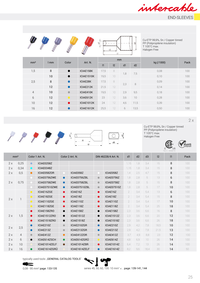









Cu-ETP 99,9%, Sn / Copper tinned PP (Polipropilene insulation) T 105°C max. Halogen Free

|                 |     | Color     | Art. N.           |              |    | mm  |      |            | Pack |  |
|-----------------|-----|-----------|-------------------|--------------|----|-----|------|------------|------|--|
| mm <sup>2</sup> | 1mm |           |                   | $\mathsf{I}$ | 2  | d1  | d2   | kg (/1000) |      |  |
| 1,5             | 8   | $\bullet$ | ICIAE158K         | 17,5         | 8  | 1,8 | 7,5  | 0,08       | 100  |  |
|                 | 10  | $\bullet$ | <b>ICIAE1510K</b> | 19,5         | 10 |     |      | 0,10       | 100  |  |
| 2,5             | 8   | $\bullet$ | ICIAE28K          | 17,5         | 8  | 2,3 | 8    | 0,09       | 100  |  |
|                 | 12  | $\bullet$ | ICIAE212K         | 21,5         | 12 |     |      | 0,14       | 100  |  |
| $\overline{4}$  | 10  | $\bullet$ | ICIAE410K         | 19,5         | 10 | 2,9 | 9,5  | 0,18       | 100  |  |
| 6               | 12  | $\bullet$ | ICIAE612K         | 23           | 12 | 3,6 | 10   | 0,28       | 100  |  |
| 10              | 12  | $\bullet$ | <b>ICIAE1012K</b> | 24           | 12 | 4,6 | 11,5 | 0,39       | 100  |  |
| 16              | 12  | $\bullet$ | <b>ICIAE1612K</b> | 25,5         | 12 | 6   | 13,5 | 0,50       | 100  |  |

2 x





Cu-ETP 99,9%, Sn / Copper tinned PP (Polipropilene insulation) T 105°C max. Halogen Free



| compliant |
|-----------|
|           |

| mm <sup>2</sup> |      |           | Color 1 Art. N. |           | Color 2 Art. N.   |           | DIN 46228/4 Art. N. | d1             | d2  | d3   | 2    | $\mathsf{I}$ | Pack |
|-----------------|------|-----------|-----------------|-----------|-------------------|-----------|---------------------|----------------|-----|------|------|--------------|------|
| 2x              | 0,25 | $\bullet$ | ICIAE0258Z      |           |                   |           |                     | 1,15           | 1.8 | 3.4  | 15   | 8            | 100  |
| 2x              | 0,34 | $\bullet$ | ICIAE0348Z      |           |                   |           |                     | 1,15           | 1,8 | 3,4  | 15   | 8            | 100  |
| 2x              | 0,5  | $\bullet$ | ICIAE058ZOR     |           | ICIAE058Z         |           | ICIAE058Z           | 1,4            | 2.5 | 4,7  | 15   | 8            | 100  |
|                 |      |           | ICIAE0756ZWE    | $\bullet$ | ICIAE0756ZBL      | $\bullet$ | ICIAE0756Z          | 1,8            | 2,8 | 5    | 13   | 6            | 100  |
| 2x              | 0,75 |           | ICIAE0758ZWE    | $\bullet$ | ICIAE0758ZBL      | $\bullet$ | ICIAE0758Z          | 1,8            | 2,8 | 5    | 15   | 8            | 100  |
|                 |      |           | ICIAE07510ZWE   | $\bullet$ | ICIAE07510ZBL     | $\bullet$ | <b>ICIAE07510Z</b>  | 1,8            | 2,8 | 5    | 17   | 10           | 100  |
|                 |      | $\bullet$ | ICIAE16ZGE      | $\bullet$ | ICIAE16Z          | $\bullet$ | ICIAE16Z            | $\overline{2}$ | 3,4 | 5.4  | 13   | 6            | 100  |
| 2x              |      | $\bullet$ | ICIAE18ZGE      | $\bullet$ | ICIAE18Z          | $\bullet$ | ICIAE18Z            | $\sqrt{2}$     | 3,4 | 5,4  | 15   | 8            | 100  |
|                 |      | $\bullet$ | ICIAE110ZGE     | $\bullet$ | ICIAE110Z         | $\bullet$ | ICIAE110Z           | $\sqrt{2}$     | 3,4 | 5,4  | 17   | 10           | 100  |
|                 |      | $\bullet$ | ICIAE118ZGE     | $\bullet$ | ICIAE118Z         | $\bullet$ | ICIAE118Z           | $\sqrt{2}$     | 3.4 | 5.4  | 25   | 18           | 100  |
|                 |      | $\bullet$ | ICIAE158ZRO     | $\bullet$ | ICIAE158Z         | $\bullet$ | ICIAE158Z           | 2,3            | 3,6 | 6,6  | 16   | 8            | 100  |
| 2x              | 1,5  | $\bullet$ | ICIAE1512ZRO    | $\bullet$ | <b>ICIAE1512Z</b> | $\bullet$ | <b>ICIAE1512Z</b>   | 2,3            | 3,6 | 6,6  | 20   | 12           | 100  |
|                 |      | $\bullet$ | ICIAE1518ZRO    | $\bullet$ | ICIAE1518Z        | $\bullet$ | <b>ICIAE1518Z</b>   | 2,3            | 3,6 | 6,6  | 26   | 18           | 100  |
| 2x              | 2,5  | $\bullet$ | ICIAE210Z       | $\bullet$ | ICIAE210ZGR       | $\bullet$ | ICIAE210Z           | 2,9            | 4,2 | 7,8  | 18,5 | 10           | 100  |
|                 |      | $\bullet$ | ICIAE213Z       | $\bullet$ | ICIAE213ZGR       | $\bullet$ | ICIAE213Z           | 2,9            | 4,2 | 7,8  | 21,5 | 13           | 100  |
| 2x              | 4    | $\bullet$ | ICIAE412Z       | $\bullet$ | ICIAE412ZOR       | $\bullet$ | ICIAE412Z           | 3.7            | 4,9 | 8,8  | 23   | 12           | 100  |
| 2x              | 6    | $\bullet$ | ICIAE614ZSCH    | $\bullet$ | ICIAE614ZGRÜ      | $\bullet$ | ICIAE614Z           | 4,8            | 6,9 | 10   | 26   | 14           | 100  |
| 2x              | 10   |           | ICIAE1014ZELF   | $\bullet$ | ICIAE1014ZBR      | $\bullet$ | <b>ICIAE1014Z</b>   | 6,4            | 7,2 | 13   | 26   | 14           | 100  |
| 2x              | 16   | $\bullet$ | ICIAE1614ZGRÜ   |           | ICIAE1614ZELF     | $\bullet$ | <b>ICIAE1614Z</b>   | 8,2            | 9.6 | 18.4 | 30   | 14           | 50   |

typically used tools: "GENERAL CATALOG TOOLS"





ſ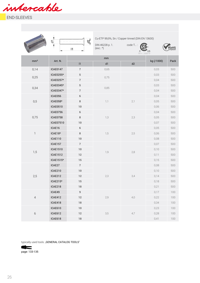intercable

END-SLEEVES

|                 | 눙               | $\beta_{\text{L}}$<br>$\vert$ 1 | Cu-ETP 99,9%, Sn / Copper tinned (DIN EN 13600)<br>DIN 46228 p. 1.<br>$(exc.:*)$ | $code T$ :<br>$\mathcal{C}$<br>file n.: 268879 | US         | <b>RoHS</b> |
|-----------------|-----------------|---------------------------------|----------------------------------------------------------------------------------|------------------------------------------------|------------|-------------|
| mm <sup>2</sup> | Art. N.         |                                 | mm                                                                               |                                                | kg (/1000) | Pack        |
|                 |                 | 1                               | d1                                                                               | d2                                             |            |             |
| 0,14            | <b>ICAE0147</b> | $\boldsymbol{7}$                | 0,65                                                                             |                                                | 0,03       | 500         |
| 0,25            | ICAE0255*       | $\,$ 5 $\,$                     | 0,75                                                                             |                                                | 0,03       | 500         |
|                 | ICAE0257*       | $\boldsymbol{7}$                |                                                                                  |                                                | 0,04       | 500         |
| 0,34            | ICAE0345*       | $\,$ 5 $\,$                     | 0,85                                                                             |                                                | 0,03       | 500         |
|                 | ICAE0347*       | $\boldsymbol{7}$                |                                                                                  |                                                | 0,04       | 500         |
|                 | ICAE056         | $\,$ 6 $\,$                     |                                                                                  |                                                | 0,04       | 500         |
| 0,5             | ICAE058*        | $\bf8$                          | 1,1                                                                              | 2,1                                            | 0,05       | 500         |
|                 | ICAE0510        | $10\,$                          |                                                                                  |                                                | 0,06       | 500         |
|                 | <b>ICAE0756</b> | $\,$ 6 $\,$                     |                                                                                  |                                                | 0,04       | 500         |
| 0,75            | <b>ICAE0758</b> | $\bf8$                          | 1,3                                                                              | 2,3                                            | 0,05       | 500         |
|                 | ICAE07510       | $10\,$                          |                                                                                  |                                                | 0,07       | 500         |
|                 | ICAE16          | $\,$ 6 $\,$                     | 1,5                                                                              |                                                | 0,05       | 500         |
| $\mathbb{I}$    | ICAE18*         | $\bf 8$                         |                                                                                  | 2,5                                            | 0,06       | 500         |
|                 | <b>ICAE110</b>  | $10\,$                          |                                                                                  |                                                | 0,08       | 500         |
|                 | ICAE157         | $\boldsymbol{7}$                |                                                                                  |                                                | 0,07       | 500         |
| 1,5             | ICAE1510        | $10\,$                          |                                                                                  | 2,8                                            | 0,10       | 500         |
|                 | ICAE1512        | 12                              | 1,9                                                                              |                                                | 0,11       | 500         |
|                 | ICAE1515*       | $15\,$                          |                                                                                  |                                                | 0,15       | 500         |
|                 | ICAE27          | $\boldsymbol{7}$                |                                                                                  |                                                | 0,08       | 500         |
|                 | ICAE210         | $10$                            |                                                                                  |                                                | 0,10       | 500         |
| 2,5             | ICAE212         | 12                              | 2,3                                                                              | 3,4                                            | 0,14       | 500         |
|                 | ICAE215*        | $15\,$                          |                                                                                  |                                                | 0,18       | 500         |
|                 | ICAE218         | $18\,$                          |                                                                                  |                                                | 0,21       | 500         |
|                 | ICAE49          | $\boldsymbol{9}$                |                                                                                  |                                                | 0,17       | 100         |
| $\sqrt{4}$      | ICAE412         | 12                              | 2,9                                                                              | 4,0                                            | 0,22       | 100         |
|                 | ICAE418         | $18\,$                          |                                                                                  |                                                | 0,34       | 100         |
|                 | ICAE610         | $10$                            |                                                                                  |                                                | 0,23       | 100         |
| 6               | ICAE612         | 12                              | 3,5                                                                              | 4,7                                            | 0,28       | 100         |
|                 | ICAE618         | $18\,$                          |                                                                                  |                                                | 0,41       | $100\,$     |

typically used tools: "GENERAL CATALOG TOOLS"

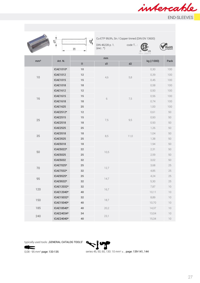

|                 | 늉               | $\beta^{\prime}_{\text{I}}$<br> 1 | Cu-ETP 99,9%, Sn / Copper tinned (DIN EN 13600)<br>DIN 46228 p. 1.<br>$(exc.:^*)$ | code T: | US<br>file n.: 268879 | $\operatorname*{Roh}^{\iota}_{\mathop{\mathrm{complian}}\nolimits}$ |
|-----------------|-----------------|-----------------------------------|-----------------------------------------------------------------------------------|---------|-----------------------|---------------------------------------------------------------------|
| mm <sup>2</sup> | Art. N.         |                                   | mm                                                                                |         | kg (/1000)            | Pack                                                                |
|                 |                 | $\left  \right. \right $          | ${\sf d}1$                                                                        | d2      |                       |                                                                     |
|                 | ICAE1010*       | 10                                |                                                                                   |         | 0,30                  | 100                                                                 |
| $10$            | ICAE1012        | 12                                | 4,6                                                                               | 5,8     | 0,39                  | $100\,$                                                             |
|                 | ICAE1015        | $15\,$                            |                                                                                   |         | 0,45                  | 100                                                                 |
|                 | ICAE1018        | 18                                |                                                                                   |         | 0,58                  | 100                                                                 |
|                 | ICAE1612        | $12\,$                            |                                                                                   |         | 0,50                  | 100                                                                 |
| 16              | ICAE1615        | $15\,$                            | 6                                                                                 | 7,5     | 0,56                  | 100                                                                 |
|                 | ICAE1618        | $18\,$                            |                                                                                   |         | 0,74                  | 100                                                                 |
|                 | <b>ICAE1625</b> | $25\,$                            |                                                                                   |         | 1,00                  | 100                                                                 |
|                 | ICAE2512*       | $12\,$                            |                                                                                   |         | 0,61                  | $50\,$                                                              |
| 25              | <b>ICAE2515</b> | $15\,$                            | 7,5                                                                               | 9,5     | 0,93                  | 50                                                                  |
|                 | <b>ICAE2518</b> | $18\,$                            |                                                                                   |         | 0,93                  | 50                                                                  |
|                 | <b>ICAE2525</b> | 25                                |                                                                                   |         | 1,26                  | 50                                                                  |
| 35              | <b>ICAE3518</b> | $18\,$                            | 8,5                                                                               | 11,0    | 1,04                  | 50                                                                  |
|                 | <b>ICAE3525</b> | 25                                |                                                                                   |         | 1,38                  | 50                                                                  |
|                 | <b>ICAE5018</b> | 18                                |                                                                                   |         | 1,94                  | 50                                                                  |
| 50              | ICAE5022*       | 22                                | 10,5                                                                              |         | 2,31                  | $50\,$                                                              |
|                 | <b>ICAE5025</b> | 25                                |                                                                                   |         | 2,59                  | 50                                                                  |
|                 | <b>ICAE5032</b> | 32                                |                                                                                   |         | 3,02                  | 50                                                                  |
| 70              | ICAE7025*       | 25                                |                                                                                   |         | 3,68                  | $25\,$                                                              |
|                 | ICAE7032*       | 32                                | 12,7                                                                              |         | 4,85                  | 25                                                                  |
|                 | ICAE9525*       | 25                                |                                                                                   |         | 4,24                  | 25                                                                  |
| 95              | ICAE9532*       | 32                                | 14,7                                                                              |         | 5,30                  | $25\,$                                                              |
|                 | ICAE12032*      | $32\,$                            |                                                                                   |         | 7,87                  | $10$                                                                |
| 120             | ICAE12040*      | $40\,$                            | 16,7                                                                              |         | 10,11                 | $10$                                                                |
|                 | ICAE15032*      | 32                                |                                                                                   |         | 8,89                  | $10$                                                                |
| 150             | ICAE15040*      | 40                                | 18,7                                                                              |         | 10,70                 | $10$                                                                |
| 185             | ICAE18540*      | 40                                | 20,2                                                                              |         | 14,37                 | $10$                                                                |
|                 | ICAE24034*      | 34                                |                                                                                   |         | 13,04                 | $10$                                                                |
| 240             | ICAE24040*      | $40\,$                            | 23,1                                                                              |         | 15,34                 | $10$                                                                |

typically used tools: "GENERAL CATALOG TOOLS"

 $\leftarrow$ 



0,08 - 95 mm<sup>2</sup> page: 133-135 series 45, 50, 60, 130: 10 mm<sup>2</sup> ≤ .. page: 139-141, 144